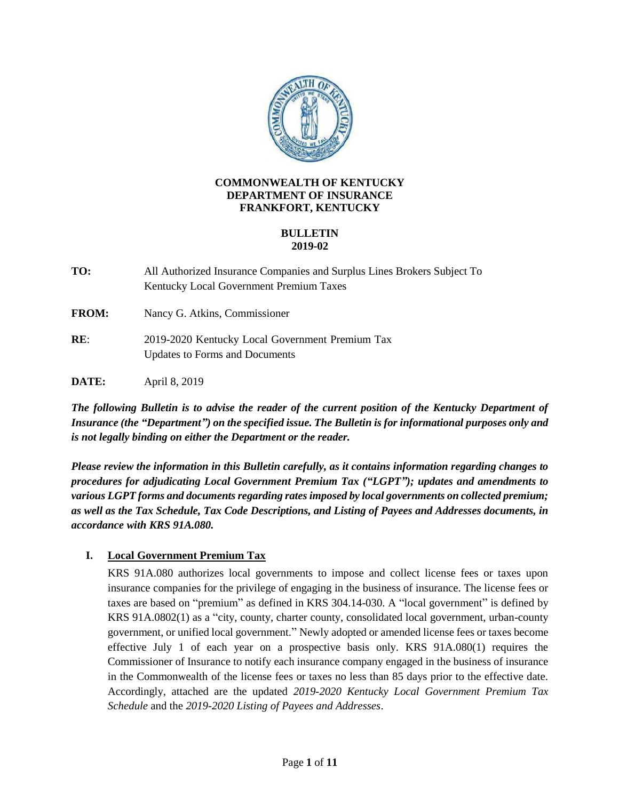

### **COMMONWEALTH OF KENTUCKY DEPARTMENT OF INSURANCE FRANKFORT, KENTUCKY**

### **BULLETIN 2019-02**

**TO:** All Authorized Insurance Companies and Surplus Lines Brokers Subject To Kentucky Local Government Premium Taxes

**FROM:** Nancy G. Atkins, Commissioner

**RE**: 2019-2020 Kentucky Local Government Premium Tax Updates to Forms and Documents

**DATE:** April 8, 2019

*The following Bulletin is to advise the reader of the current position of the Kentucky Department of Insurance (the "Department") on the specified issue. The Bulletin is for informational purposes only and is not legally binding on either the Department or the reader.*

*Please review the information in this Bulletin carefully, as it contains information regarding changes to procedures for adjudicating Local Government Premium Tax ("LGPT"); updates and amendments to various LGPT forms and documents regarding rates imposed by local governments on collected premium; as well as the Tax Schedule, Tax Code Descriptions, and Listing of Payees and Addresses documents, in accordance with KRS 91A.080.*

# **I. Local Government Premium Tax**

KRS 91A.080 authorizes local governments to impose and collect license fees or taxes upon insurance companies for the privilege of engaging in the business of insurance. The license fees or taxes are based on "premium" as defined in KRS 304.14-030. A "local government" is defined by KRS 91A.0802(1) as a "city, county, charter county, consolidated local government, urban-county government, or unified local government." Newly adopted or amended license fees or taxes become effective July 1 of each year on a prospective basis only. KRS 91A.080(1) requires the Commissioner of Insurance to notify each insurance company engaged in the business of insurance in the Commonwealth of the license fees or taxes no less than 85 days prior to the effective date. Accordingly, attached are the updated *2019-2020 Kentucky Local Government Premium Tax Schedule* and the *2019-2020 Listing of Payees and Addresses*.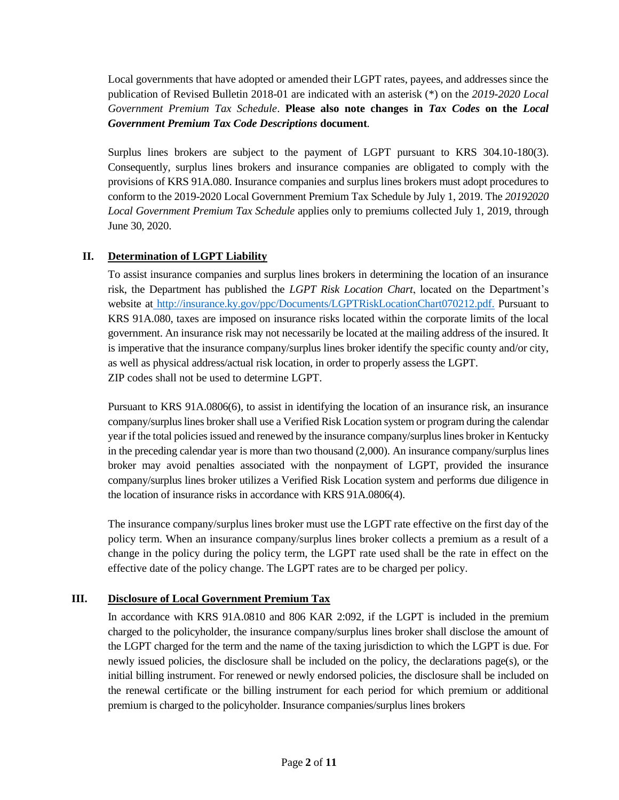Local governments that have adopted or amended their LGPT rates, payees, and addresses since the publication of Revised Bulletin 2018-01 are indicated with an asterisk (\*) on the *2019-2020 Local Government Premium Tax Schedule*. **Please also note changes in** *Tax Codes* **on the** *Local Government Premium Tax Code Descriptions* **document***.*

Surplus lines brokers are subject to the payment of LGPT pursuant to KRS 304.10-180(3). Consequently, surplus lines brokers and insurance companies are obligated to comply with the provisions of KRS 91A.080. Insurance companies and surplus lines brokers must adopt procedures to conform to the 2019-2020 Local Government Premium Tax Schedule by July 1, 2019. The *20192020 Local Government Premium Tax Schedule* applies only to premiums collected July 1, 2019, through June 30, 2020.

## **II. Determination of LGPT Liability**

To assist insurance companies and surplus lines brokers in determining the location of an insurance risk, the Department has published the *LGPT Risk Location Chart*, located on the Department's website at [http://insurance.ky.gov/ppc/Documents/LGPTRiskLocationChart070212.pdf.](http://insurance.ky.gov/ppc/Documents/LGPTRiskLocationChart070212.pdf) Pursuant to KRS 91A.080, taxes are imposed on insurance risks located within the corporate limits of the local government. An insurance risk may not necessarily be located at the mailing address of the insured. It is imperative that the insurance company/surplus lines broker identify the specific county and/or city, as well as physical address/actual risk location, in order to properly assess the LGPT. ZIP codes shall not be used to determine LGPT.

Pursuant to KRS 91A.0806(6), to assist in identifying the location of an insurance risk, an insurance company/surplus lines broker shall use a Verified Risk Location system or program during the calendar year if the total policies issued and renewed by the insurance company/surplus lines broker in Kentucky in the preceding calendar year is more than two thousand (2,000). An insurance company/surplus lines broker may avoid penalties associated with the nonpayment of LGPT, provided the insurance company/surplus lines broker utilizes a Verified Risk Location system and performs due diligence in the location of insurance risks in accordance with KRS 91A.0806(4).

The insurance company/surplus lines broker must use the LGPT rate effective on the first day of the policy term. When an insurance company/surplus lines broker collects a premium as a result of a change in the policy during the policy term, the LGPT rate used shall be the rate in effect on the effective date of the policy change. The LGPT rates are to be charged per policy.

## **III. Disclosure of Local Government Premium Tax**

In accordance with KRS 91A.0810 and 806 KAR 2:092, if the LGPT is included in the premium charged to the policyholder, the insurance company/surplus lines broker shall disclose the amount of the LGPT charged for the term and the name of the taxing jurisdiction to which the LGPT is due. For newly issued policies, the disclosure shall be included on the policy, the declarations page(s), or the initial billing instrument. For renewed or newly endorsed policies, the disclosure shall be included on the renewal certificate or the billing instrument for each period for which premium or additional premium is charged to the policyholder. Insurance companies/surplus lines brokers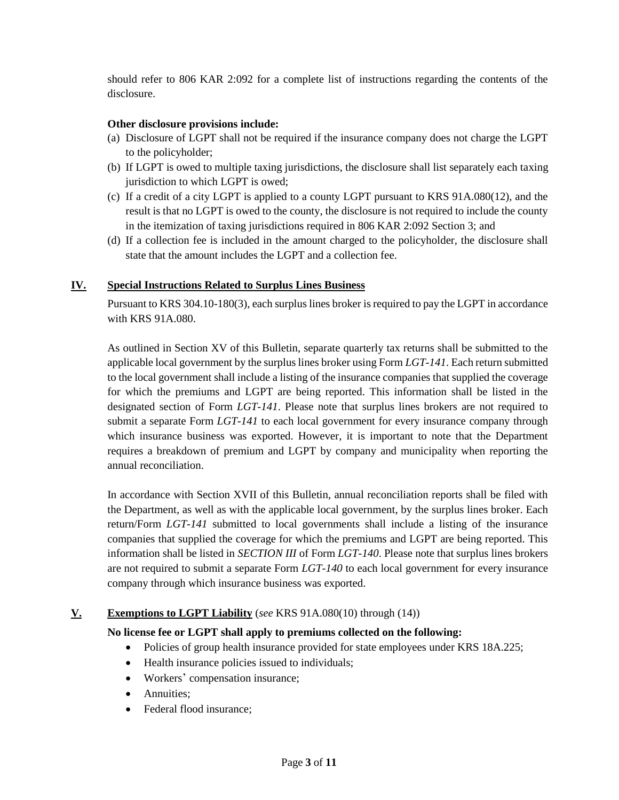should refer to 806 KAR 2:092 for a complete list of instructions regarding the contents of the disclosure.

## **Other disclosure provisions include:**

- (a) Disclosure of LGPT shall not be required if the insurance company does not charge the LGPT to the policyholder;
- (b) If LGPT is owed to multiple taxing jurisdictions, the disclosure shall list separately each taxing jurisdiction to which LGPT is owed;
- (c) If a credit of a city LGPT is applied to a county LGPT pursuant to KRS 91A.080(12), and the result is that no LGPT is owed to the county, the disclosure is not required to include the county in the itemization of taxing jurisdictions required in 806 KAR 2:092 Section 3; and
- (d) If a collection fee is included in the amount charged to the policyholder, the disclosure shall state that the amount includes the LGPT and a collection fee.

### **IV. Special Instructions Related to Surplus Lines Business**

Pursuant to KRS 304.10-180(3), each surplus lines broker is required to pay the LGPT in accordance with KRS 91A.080.

As outlined in Section XV of this Bulletin, separate quarterly tax returns shall be submitted to the applicable local government by the surplus lines broker using Form *LGT-141*. Each return submitted to the local government shall include a listing of the insurance companies that supplied the coverage for which the premiums and LGPT are being reported. This information shall be listed in the designated section of Form *LGT-141*. Please note that surplus lines brokers are not required to submit a separate Form *LGT-141* to each local government for every insurance company through which insurance business was exported. However, it is important to note that the Department requires a breakdown of premium and LGPT by company and municipality when reporting the annual reconciliation.

In accordance with Section XVII of this Bulletin, annual reconciliation reports shall be filed with the Department, as well as with the applicable local government, by the surplus lines broker. Each return/Form *LGT-141* submitted to local governments shall include a listing of the insurance companies that supplied the coverage for which the premiums and LGPT are being reported. This information shall be listed in *SECTION III* of Form *LGT-140*. Please note that surplus lines brokers are not required to submit a separate Form *LGT-140* to each local government for every insurance company through which insurance business was exported.

### **V. Exemptions to LGPT Liability** (*see* KRS 91A.080(10) through (14))

**No license fee or LGPT shall apply to premiums collected on the following:**

- Policies of group health insurance provided for state employees under KRS 18A.225;
- Health insurance policies issued to individuals;
- Workers' compensation insurance;
- Annuities:
- Federal flood insurance: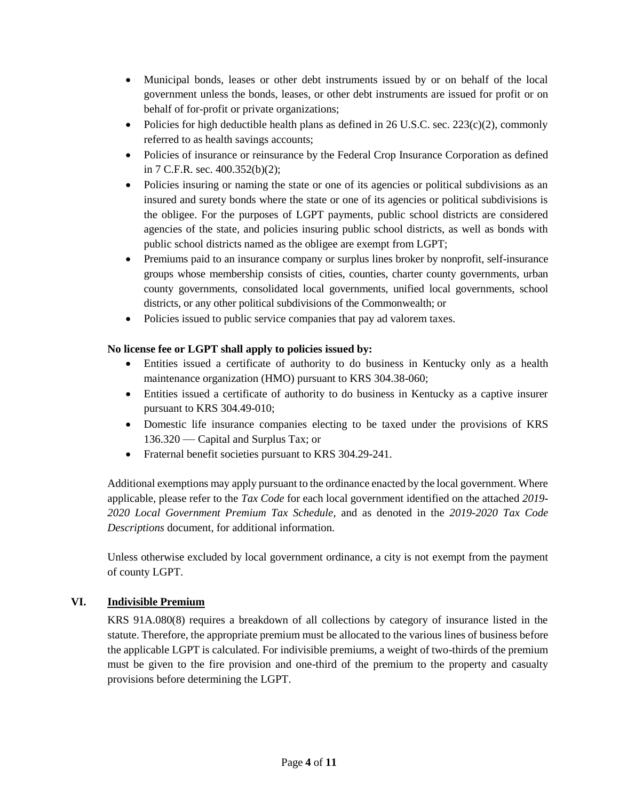- Municipal bonds, leases or other debt instruments issued by or on behalf of the local government unless the bonds, leases, or other debt instruments are issued for profit or on behalf of for-profit or private organizations;
- Policies for high deductible health plans as defined in 26 U.S.C. sec. 223(c)(2), commonly referred to as health savings accounts;
- Policies of insurance or reinsurance by the Federal Crop Insurance Corporation as defined in 7 C.F.R. sec. 400.352(b)(2);
- Policies insuring or naming the state or one of its agencies or political subdivisions as an insured and surety bonds where the state or one of its agencies or political subdivisions is the obligee. For the purposes of LGPT payments, public school districts are considered agencies of the state, and policies insuring public school districts, as well as bonds with public school districts named as the obligee are exempt from LGPT;
- Premiums paid to an insurance company or surplus lines broker by nonprofit, self-insurance groups whose membership consists of cities, counties, charter county governments, urban county governments, consolidated local governments, unified local governments, school districts, or any other political subdivisions of the Commonwealth; or
- Policies issued to public service companies that pay ad valorem taxes.

# **No license fee or LGPT shall apply to policies issued by:**

- Entities issued a certificate of authority to do business in Kentucky only as a health maintenance organization (HMO) pursuant to KRS 304.38-060;
- Entities issued a certificate of authority to do business in Kentucky as a captive insurer pursuant to KRS 304.49-010;
- Domestic life insurance companies electing to be taxed under the provisions of KRS 136.320 — Capital and Surplus Tax; or
- Fraternal benefit societies pursuant to KRS 304.29-241.

Additional exemptions may apply pursuant to the ordinance enacted by the local government. Where applicable, please refer to the *Tax Code* for each local government identified on the attached *2019- 2020 Local Government Premium Tax Schedule*, and as denoted in the *2019-2020 Tax Code Descriptions* document, for additional information.

Unless otherwise excluded by local government ordinance, a city is not exempt from the payment of county LGPT.

# **VI. Indivisible Premium**

KRS 91A.080(8) requires a breakdown of all collections by category of insurance listed in the statute. Therefore, the appropriate premium must be allocated to the various lines of business before the applicable LGPT is calculated. For indivisible premiums, a weight of two-thirds of the premium must be given to the fire provision and one-third of the premium to the property and casualty provisions before determining the LGPT.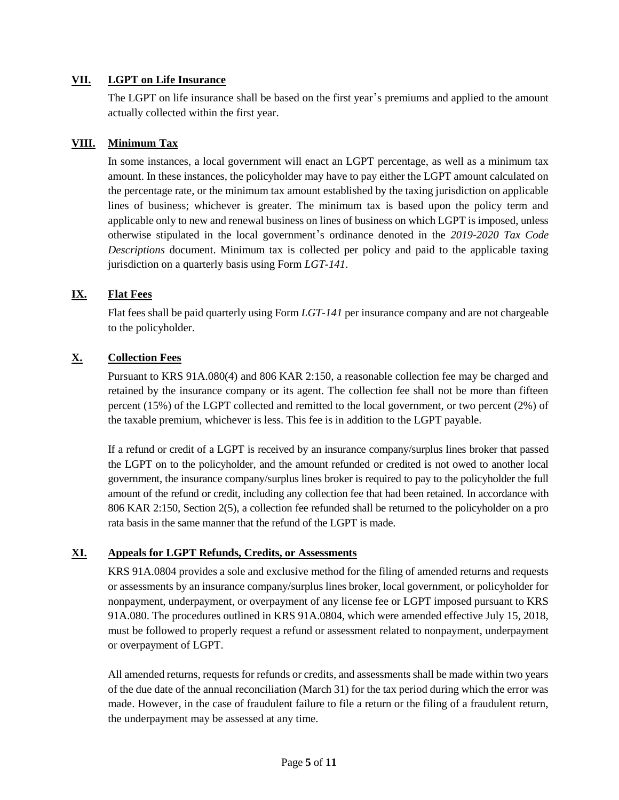### **VII. LGPT on Life Insurance**

The LGPT on life insurance shall be based on the first year's premiums and applied to the amount actually collected within the first year.

### **VIII. Minimum Tax**

In some instances, a local government will enact an LGPT percentage, as well as a minimum tax amount. In these instances, the policyholder may have to pay either the LGPT amount calculated on the percentage rate, or the minimum tax amount established by the taxing jurisdiction on applicable lines of business; whichever is greater. The minimum tax is based upon the policy term and applicable only to new and renewal business on lines of business on which LGPT is imposed, unless otherwise stipulated in the local government's ordinance denoted in the *2019-2020 Tax Code Descriptions* document. Minimum tax is collected per policy and paid to the applicable taxing jurisdiction on a quarterly basis using Form *LGT-141*.

## **IX. Flat Fees**

Flat fees shall be paid quarterly using Form *LGT-141* per insurance company and are not chargeable to the policyholder.

## **X. Collection Fees**

Pursuant to KRS 91A.080(4) and 806 KAR 2:150, a reasonable collection fee may be charged and retained by the insurance company or its agent. The collection fee shall not be more than fifteen percent (15%) of the LGPT collected and remitted to the local government, or two percent (2%) of the taxable premium, whichever is less. This fee is in addition to the LGPT payable.

If a refund or credit of a LGPT is received by an insurance company/surplus lines broker that passed the LGPT on to the policyholder, and the amount refunded or credited is not owed to another local government, the insurance company/surplus lines broker is required to pay to the policyholder the full amount of the refund or credit, including any collection fee that had been retained. In accordance with 806 KAR 2:150, Section 2(5), a collection fee refunded shall be returned to the policyholder on a pro rata basis in the same manner that the refund of the LGPT is made.

## **XI. Appeals for LGPT Refunds, Credits, or Assessments**

KRS 91A.0804 provides a sole and exclusive method for the filing of amended returns and requests or assessments by an insurance company/surplus lines broker, local government, or policyholder for nonpayment, underpayment, or overpayment of any license fee or LGPT imposed pursuant to KRS 91A.080. The procedures outlined in KRS 91A.0804, which were amended effective July 15, 2018, must be followed to properly request a refund or assessment related to nonpayment, underpayment or overpayment of LGPT.

All amended returns, requests for refunds or credits, and assessments shall be made within two years of the due date of the annual reconciliation (March 31) for the tax period during which the error was made. However, in the case of fraudulent failure to file a return or the filing of a fraudulent return, the underpayment may be assessed at any time.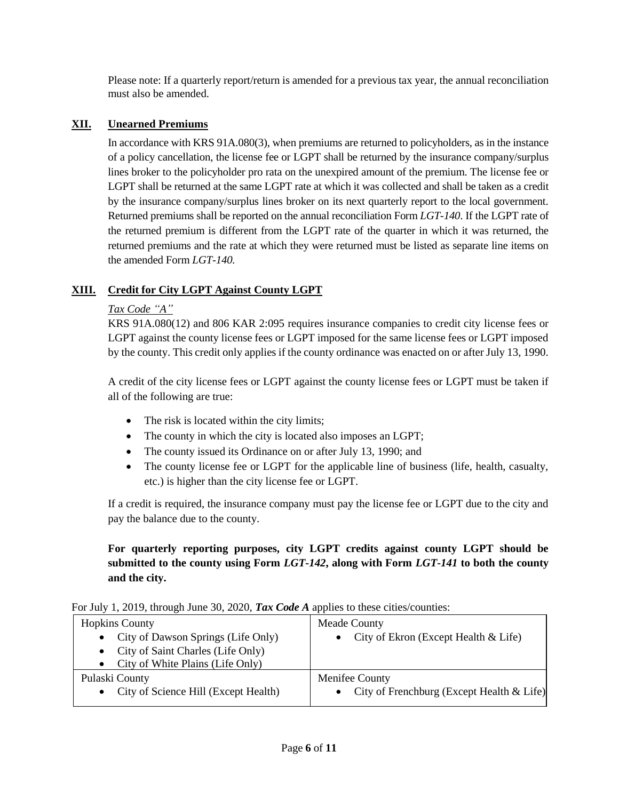Please note: If a quarterly report/return is amended for a previous tax year, the annual reconciliation must also be amended.

## **XII. Unearned Premiums**

In accordance with KRS 91A.080(3), when premiums are returned to policyholders, as in the instance of a policy cancellation, the license fee or LGPT shall be returned by the insurance company/surplus lines broker to the policyholder pro rata on the unexpired amount of the premium. The license fee or LGPT shall be returned at the same LGPT rate at which it was collected and shall be taken as a credit by the insurance company/surplus lines broker on its next quarterly report to the local government. Returned premiums shall be reported on the annual reconciliation Form *LGT-140*. If the LGPT rate of the returned premium is different from the LGPT rate of the quarter in which it was returned, the returned premiums and the rate at which they were returned must be listed as separate line items on the amended Form *LGT-140.*

## **XIII. Credit for City LGPT Against County LGPT**

# *Tax Code "A"*

KRS 91A.080(12) and 806 KAR 2:095 requires insurance companies to credit city license fees or LGPT against the county license fees or LGPT imposed for the same license fees or LGPT imposed by the county. This credit only applies if the county ordinance was enacted on or after July 13, 1990.

A credit of the city license fees or LGPT against the county license fees or LGPT must be taken if all of the following are true:

- The risk is located within the city limits;
- The county in which the city is located also imposes an LGPT;
- The county issued its Ordinance on or after July 13, 1990; and
- The county license fee or LGPT for the applicable line of business (life, health, casualty, etc.) is higher than the city license fee or LGPT.

If a credit is required, the insurance company must pay the license fee or LGPT due to the city and pay the balance due to the county.

**For quarterly reporting purposes, city LGPT credits against county LGPT should be submitted to the county using Form** *LGT-142***, along with Form** *LGT-141* **to both the county and the city.**

| For July 1, 2019, through June 30, 2020, Tax Code A applies to these cities/counties: |  |
|---------------------------------------------------------------------------------------|--|
|---------------------------------------------------------------------------------------|--|

| <b>Hopkins County</b>                | Meade County                                  |  |  |  |
|--------------------------------------|-----------------------------------------------|--|--|--|
| • City of Dawson Springs (Life Only) | • City of Ekron (Except Health $<$ Life)      |  |  |  |
| • City of Saint Charles (Life Only)  |                                               |  |  |  |
| City of White Plains (Life Only)     |                                               |  |  |  |
| Pulaski County                       | Menifee County                                |  |  |  |
| City of Science Hill (Except Health) | • City of Frenchburg (Except Health $<$ Life) |  |  |  |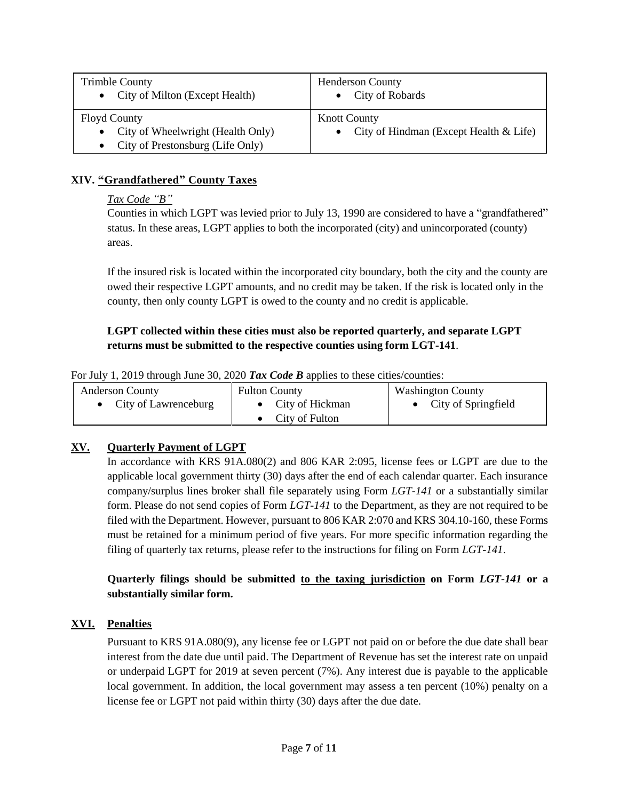| <b>Trimble County</b><br>• City of Milton (Except Health) | <b>Henderson County</b><br>City of Robards |
|-----------------------------------------------------------|--------------------------------------------|
| <b>Floyd County</b>                                       | <b>Knott County</b>                        |
| City of Wheelwright (Health Only)                         | • City of Hindman (Except Health $<$ Life) |
| City of Prestonsburg (Life Only)                          |                                            |

## **XIV. "Grandfathered" County Taxes**

*Tax Code "B"*

Counties in which LGPT was levied prior to July 13, 1990 are considered to have a "grandfathered" status. In these areas, LGPT applies to both the incorporated (city) and unincorporated (county) areas.

If the insured risk is located within the incorporated city boundary, both the city and the county are owed their respective LGPT amounts, and no credit may be taken. If the risk is located only in the county, then only county LGPT is owed to the county and no credit is applicable.

# **LGPT collected within these cities must also be reported quarterly, and separate LGPT returns must be submitted to the respective counties using form LGT-141**.

|  |  | For July 1, 2019 through June 30, 2020 Tax Code B applies to these cities/counties: |  |  |  |
|--|--|-------------------------------------------------------------------------------------|--|--|--|
|  |  |                                                                                     |  |  |  |

| <b>Anderson County</b> | <b>Fulton County</b>     | <b>Washington County</b> |
|------------------------|--------------------------|--------------------------|
| • City of Lawrenceburg | • City of Hickman        | City of Springfield      |
|                        | $\bullet$ City of Fulton |                          |

# **XV. Quarterly Payment of LGPT**

In accordance with KRS 91A.080(2) and 806 KAR 2:095, license fees or LGPT are due to the applicable local government thirty (30) days after the end of each calendar quarter. Each insurance company/surplus lines broker shall file separately using Form *LGT-141* or a substantially similar form. Please do not send copies of Form *LGT-141* to the Department, as they are not required to be filed with the Department. However, pursuant to 806 KAR 2:070 and KRS 304.10-160, these Forms must be retained for a minimum period of five years. For more specific information regarding the filing of quarterly tax returns, please refer to the instructions for filing on Form *LGT-141*.

# **Quarterly filings should be submitted to the taxing jurisdiction on Form** *LGT-141* **or a substantially similar form.**

## **XVI. Penalties**

Pursuant to KRS 91A.080(9), any license fee or LGPT not paid on or before the due date shall bear interest from the date due until paid. The Department of Revenue has set the interest rate on unpaid or underpaid LGPT for 2019 at seven percent (7%). Any interest due is payable to the applicable local government. In addition, the local government may assess a ten percent (10%) penalty on a license fee or LGPT not paid within thirty (30) days after the due date.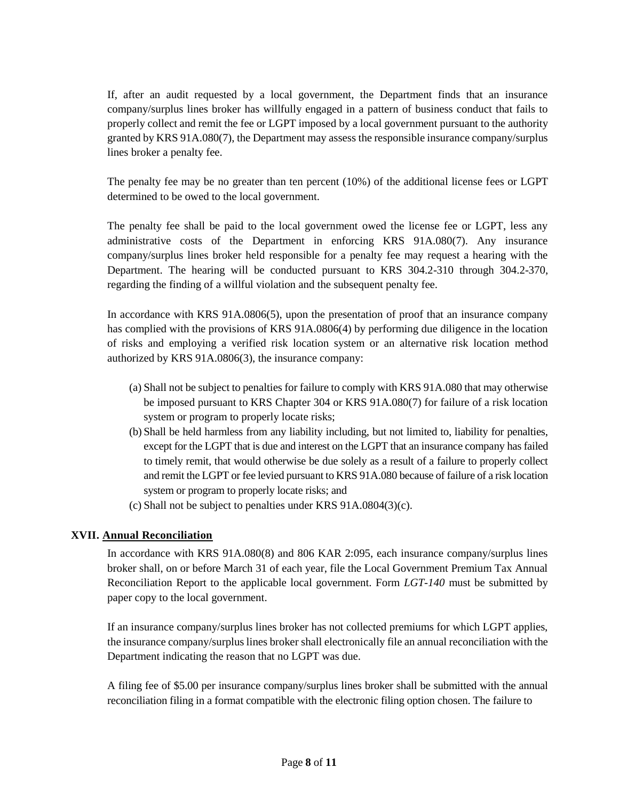If, after an audit requested by a local government, the Department finds that an insurance company/surplus lines broker has willfully engaged in a pattern of business conduct that fails to properly collect and remit the fee or LGPT imposed by a local government pursuant to the authority granted by KRS 91A.080(7), the Department may assess the responsible insurance company/surplus lines broker a penalty fee.

The penalty fee may be no greater than ten percent (10%) of the additional license fees or LGPT determined to be owed to the local government.

The penalty fee shall be paid to the local government owed the license fee or LGPT, less any administrative costs of the Department in enforcing KRS 91A.080(7). Any insurance company/surplus lines broker held responsible for a penalty fee may request a hearing with the Department. The hearing will be conducted pursuant to KRS 304.2-310 through 304.2-370, regarding the finding of a willful violation and the subsequent penalty fee.

In accordance with KRS 91A.0806(5), upon the presentation of proof that an insurance company has complied with the provisions of KRS 91A.0806(4) by performing due diligence in the location of risks and employing a verified risk location system or an alternative risk location method authorized by KRS 91A.0806(3), the insurance company:

- (a) Shall not be subject to penalties for failure to comply with KRS 91A.080 that may otherwise be imposed pursuant to KRS Chapter 304 or KRS 91A.080(7) for failure of a risk location system or program to properly locate risks;
- (b) Shall be held harmless from any liability including, but not limited to, liability for penalties, except for the LGPT that is due and interest on the LGPT that an insurance company has failed to timely remit, that would otherwise be due solely as a result of a failure to properly collect and remit the LGPT or fee levied pursuant to KRS 91A.080 because of failure of a risk location system or program to properly locate risks; and
- (c) Shall not be subject to penalties under KRS 91A.0804(3)(c).

## **XVII. Annual Reconciliation**

In accordance with KRS 91A.080(8) and 806 KAR 2:095, each insurance company/surplus lines broker shall, on or before March 31 of each year, file the Local Government Premium Tax Annual Reconciliation Report to the applicable local government. Form *LGT-140* must be submitted by paper copy to the local government.

If an insurance company/surplus lines broker has not collected premiums for which LGPT applies, the insurance company/surplus lines broker shall electronically file an annual reconciliation with the Department indicating the reason that no LGPT was due.

A filing fee of \$5.00 per insurance company/surplus lines broker shall be submitted with the annual reconciliation filing in a format compatible with the electronic filing option chosen. The failure to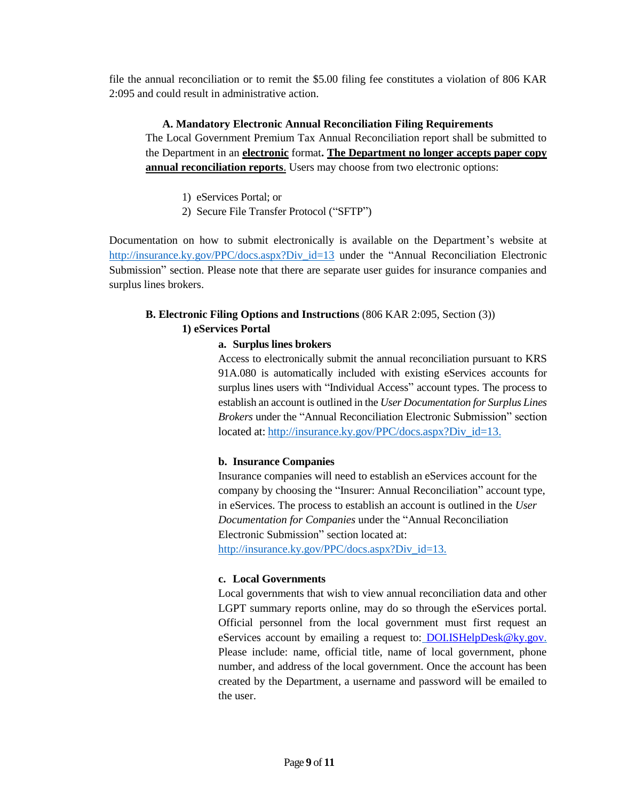file the annual reconciliation or to remit the \$5.00 filing fee constitutes a violation of 806 KAR 2:095 and could result in administrative action.

### **A. Mandatory Electronic Annual Reconciliation Filing Requirements**

The Local Government Premium Tax Annual Reconciliation report shall be submitted to the Department in an **electronic** format**. The Department no longer accepts paper copy annual reconciliation reports**. Users may choose from two electronic options:

- 1) eServices Portal; or
- 2) Secure File Transfer Protocol ("SFTP")

Documentation on how to submit electronically is available on the Department's website at http://insurance.ky.gov/PPC/docs.aspx?Div id=13 under the "Annual Reconciliation Electronic Submission" section. Please note that there are separate user guides for insurance companies and surplus lines brokers.

# **B. Electronic Filing Options and Instructions** (806 KAR 2:095, Section (3)) **1) eServices Portal**

## **a. Surplus lines brokers**

Access to electronically submit the annual reconciliation pursuant to KRS 91A.080 is automatically included with existing eServices accounts for surplus lines users with "Individual Access" account types. The process to establish an account is outlined in the *User Documentation for Surplus Lines Brokers* under the "Annual Reconciliation Electronic Submission" section located at: [http://insurance.ky.gov/PPC/docs.aspx?Div\\_id=13](http://insurance.ky.gov/PPC/docs.aspx?Div_id=13).

## **b. Insurance Companies**

Insurance companies will need to establish an eServices account for the company by choosing the "Insurer: Annual Reconciliation" account type, in eServices. The process to establish an account is outlined in the *User Documentation for Companies* under the "Annual Reconciliation Electronic Submission" section located at: [http://insurance.ky.gov/PPC/docs.aspx?Div\\_id=13.](http://insurance.ky.gov/PPC/docs.aspx?Div_id=13)

**c. Local Governments**

Local governments that wish to view annual reconciliation data and other LGPT summary reports online, may do so through the eServices portal. Official personnel from the local government must first request an eServices account by emailing a request to: **[DOI.ISHelpDesk@ky.gov.](mailto:DOI.ISHelpDesk@ky.gov)** Please include: name, official title, name of local government, phone number, and address of the local government. Once the account has been created by the Department, a username and password will be emailed to the user.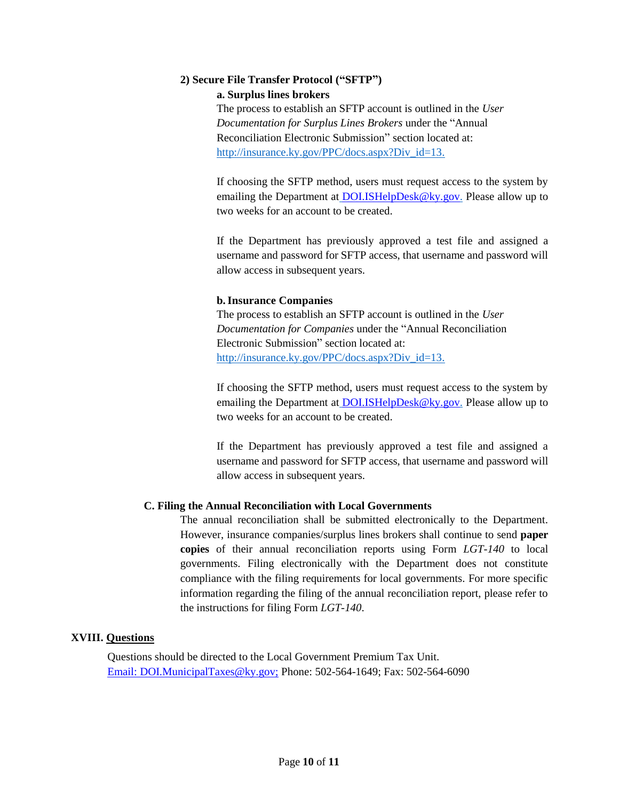#### **2) Secure File Transfer Protocol ("SFTP")**

#### **a. Surplus lines brokers**

The process to establish an SFTP account is outlined in the *User Documentation for Surplus Lines Brokers* under the "Annual Reconciliation Electronic Submission" section located at: [http://insurance.ky.gov/PPC/docs.aspx?Div\\_id=13.](http://insurance.ky.gov/PPC/docs.aspx?Div_id=13)

If choosing the SFTP method, users must request access to the system by emailing the Department at [DOI.ISHelpDesk@ky.gov.](mailto:DOI.ISHelpDesk@ky.gov) Please allow up to two weeks for an account to be created.

If the Department has previously approved a test file and assigned a username and password for SFTP access, that username and password will allow access in subsequent years.

### **b.Insurance Companies**

The process to establish an SFTP account is outlined in the *User Documentation for Companies* under the "Annual Reconciliation Electronic Submission" section located at: [http://insurance.ky.gov/PPC/docs.aspx?Div\\_id=13.](http://insurance.ky.gov/PPC/docs.aspx?Div_id=13)

If choosing the SFTP method, users must request access to the system by emailing the Department at [DOI.ISHelpDesk@ky.gov.](mailto:DOI.ISHelpDesk@ky.gov) Please allow up to two weeks for an account to be created.

If the Department has previously approved a test file and assigned a username and password for SFTP access, that username and password will allow access in subsequent years.

### **C. Filing the Annual Reconciliation with Local Governments**

The annual reconciliation shall be submitted electronically to the Department. However, insurance companies/surplus lines brokers shall continue to send **paper copies** of their annual reconciliation reports using Form *LGT-140* to local governments. Filing electronically with the Department does not constitute compliance with the filing requirements for local governments. For more specific information regarding the filing of the annual reconciliation report, please refer to the instructions for filing Form *LGT-140*.

### **XVIII. Questions**

Questions should be directed to the Local Government Premium Tax Unit. [Email: DOI.MunicipalTaxes@ky.gov;](mailto:DOI.MunicipalTaxes@ky.gov;) Phone: 502-564-1649; Fax: 502-564-6090